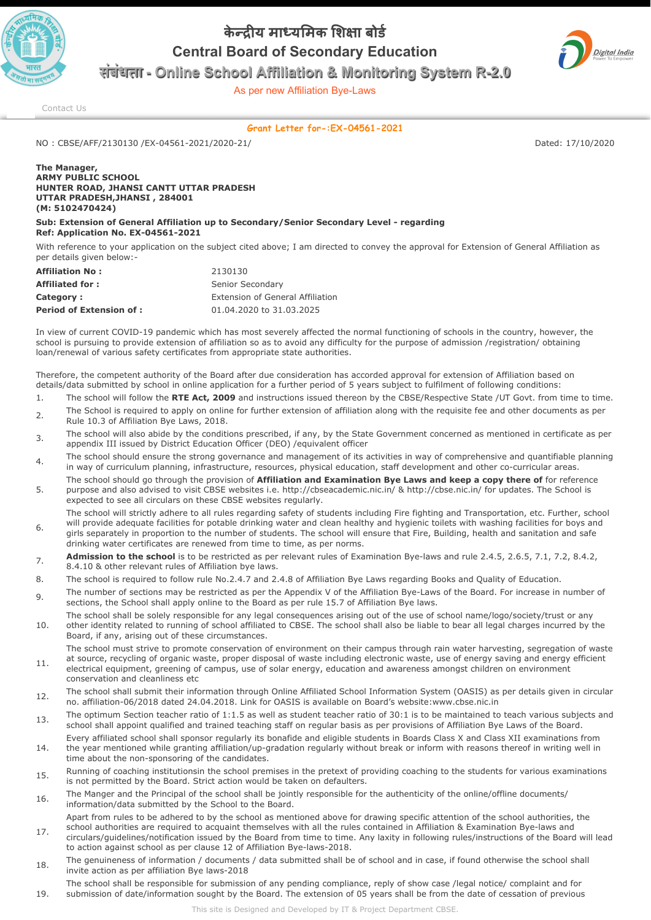

## केन्दीय माध्यमिक शिक्षा बोर्ड Central Board of Secondary Education



संबंधता - Online School Affiliation & Monitoring System R-2.0

As per new Affiliation Bye-Laws

[Contact Us](http://cbseaff.nic.in/cbse_aff/help.aspx)

## Grant Letter for-:EX-04561-2021

NO : CBSE/AFF/2130130 /EX-04561-2021/2020-21/ Dated: 17/10/2020

The Manager, ARMY PUBLIC SCHOOL HUNTER ROAD, JHANSI CANTT UTTAR PRADESH UTTAR PRADESH,JHANSI , 284001 (M: 5102470424)

Sub: Extension of General Affiliation up to Secondary/Senior Secondary Level - regarding Ref: Application No. EX-04561-2021

With reference to your application on the subject cited above; I am directed to convey the approval for Extension of General Affiliation as per details given below:-

| <b>Affiliation No:</b>          | 2130130                          |
|---------------------------------|----------------------------------|
| <b>Affiliated for:</b>          | Senior Secondary                 |
| Category:                       | Extension of General Affiliation |
| <b>Period of Extension of :</b> | 01.04.2020 to 31.03.2025         |

In view of current COVID-19 pandemic which has most severely affected the normal functioning of schools in the country, however, the school is pursuing to provide extension of affiliation so as to avoid any difficulty for the purpose of admission /registration/ obtaining loan/renewal of various safety certificates from appropriate state authorities.

Therefore, the competent authority of the Board after due consideration has accorded approval for extension of Affiliation based on details/data submitted by school in online application for a further period of 5 years subject to fulfilment of following conditions:

- 1. The school will follow the RTE Act, 2009 and instructions issued thereon by the CBSE/Respective State /UT Govt. from time to time. <sub>2</sub> The School is required to apply on online for further extension of affiliation along with the requisite fee and other documents as per
- Rule 10.3 of Affiliation Bye Laws, 2018. 3. The school will also abide by the conditions prescribed, if any, by the State Government concerned as mentioned in certificate as per appendix III issued by District Education Officer (DEO) /equivalent officer
- $_4$  The school should ensure the strong governance and management of its activities in way of comprehensive and quantifiable planning in way of curriculum planning, infrastructure, resources, physical education, staff development and other co-curricular areas.
- 5. The school should go through the provision of Affiliation and Examination Bye Laws and keep a copy there of for reference purpose and also advised to visit CBSE websites i.e. http://cbseacademic.nic.in/ & http://cbse.nic.in/ for updates. The School is expected to see all circulars on these CBSE websites regularly.
- 6. The school will strictly adhere to all rules regarding safety of students including Fire fighting and Transportation, etc. Further, school will provide adequate facilities for potable drinking water and clean healthy and hygienic toilets with washing facilities for boys and girls separately in proportion to the number of students. The school will ensure that Fire, Building, health and sanitation and safe drinking water certificates are renewed from time to time, as per norms.
- 7. Admission to the school is to be restricted as per relevant rules of Examination Bye-laws and rule 2.4.5, 2.6.5, 7.1, 7.2, 8.4.2, 8.4.10 & other relevant rules of Affiliation bye laws.
- 8. The school is required to follow rule No.2.4.7 and 2.4.8 of Affiliation Bye Laws regarding Books and Quality of Education.
- q The number of sections may be restricted as per the Appendix V of the Affiliation Bye-Laws of the Board. For increase in number of sections, the School shall apply online to the Board as per rule 15.7 of Affiliation Bye laws.
- 10. The school shall be solely responsible for any legal consequences arising out of the use of school name/logo/society/trust or any other identity related to running of school affiliated to CBSE. The school shall also be liable to bear all legal charges incurred by the Board, if any, arising out of these circumstances.
- 11. The school must strive to promote conservation of environment on their campus through rain water harvesting, segregation of waste at source, recycling of organic waste, proper disposal of waste including electronic waste, use of energy saving and energy efficient electrical equipment, greening of campus, use of solar energy, education and awareness amongst children on environment
- conservation and cleanliness etc
- 12. The school shall submit their information through Online Affiliated School Information System (OASIS) as per details given in circular no. affiliation-06/2018 dated 24.04.2018. Link for OASIS is available on Board's website:www.cbse.nic.in
- 13. The optimum Section teacher ratio of 1:1.5 as well as student teacher ratio of 30:1 is to be maintained to teach various subjects and school shall appoint qualified and trained teaching staff on regular basis as per provisions of Affiliation Bye Laws of the Board.
- 14. Every affiliated school shall sponsor regularly its bonafide and eligible students in Boards Class X and Class XII examinations from the year mentioned while granting affiliation/up-gradation regularly without break or inform with reasons thereof in writing well in time about the non-sponsoring of the candidates.
- 15. Running of coaching institutionsin the school premises in the pretext of providing coaching to the students for various examinations is not permitted by the Board. Strict action would be taken on defaulters.
- 16. The Manger and the Principal of the school shall be jointly responsible for the authenticity of the online/offline documents/ information/data submitted by the School to the Board.
- Apart from rules to be adhered to by the school as mentioned above for drawing specific attention of the school authorities, the school authorities are required to acquaint themselves with all the rules contained in Affiliation & Examination Bye-laws and
- 17. circulars/guidelines/notification issued by the Board from time to time. Any laxity in following rules/instructions of the Board will lead to action against school as per clause 12 of Affiliation Bye-laws-2018.
- 18. The genuineness of information / documents / data submitted shall be of school and in case, if found otherwise the school shall invite action as per affiliation Bye laws-2018
- 19. The school shall be responsible for submission of any pending compliance, reply of show case /legal notice/ complaint and for submission of date/information sought by the Board. The extension of 05 years shall be from the date of cessation of previous